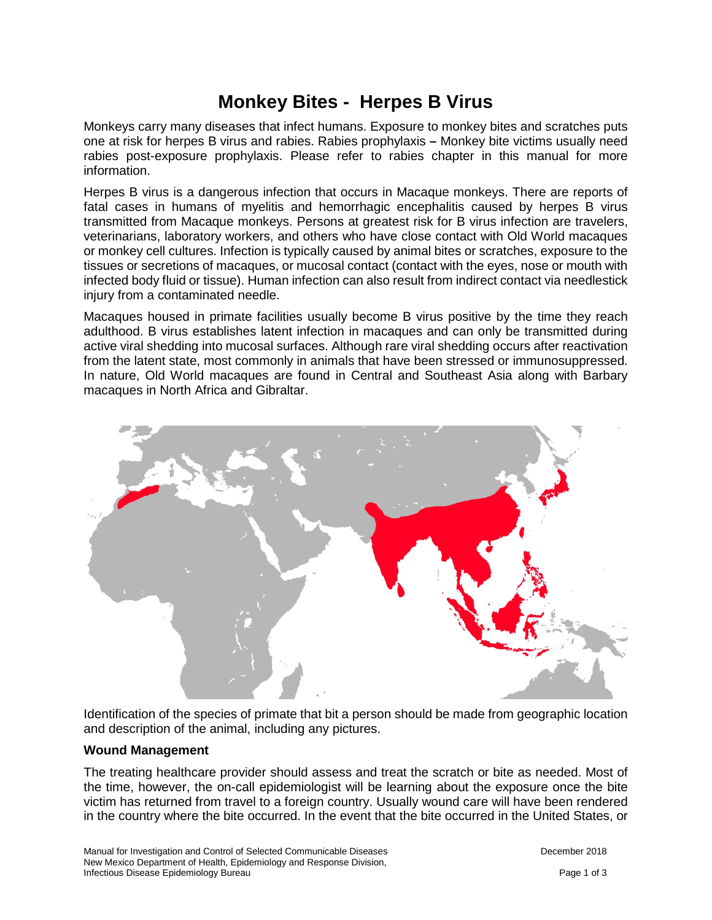# **Monkey Bites - Herpes B Virus**

Monkeys carry many diseases that infect humans. Exposure to monkey bites and scratches puts one at risk for herpes B virus and rabies. Rabies prophylaxis **–** Monkey bite victims usually need rabies post-exposure prophylaxis. Please refer to rabies chapter in this manual for more information.

Herpes B virus is a dangerous infection that occurs in Macaque monkeys. There are reports of fatal cases in humans of myelitis and hemorrhagic encephalitis caused by herpes B virus transmitted from Macaque monkeys. Persons at greatest risk for B virus infection are travelers, veterinarians, laboratory workers, and others who have close contact with Old World macaques or monkey cell cultures. Infection is typically caused by animal bites or scratches, exposure to the tissues or secretions of macaques, or mucosal contact (contact with the eyes, nose or mouth with infected body fluid or tissue). Human infection can also result from indirect contact via needlestick injury from a contaminated needle.

Macaques housed in primate facilities usually become B virus positive by the time they reach adulthood. B virus establishes latent infection in macaques and can only be transmitted during active viral shedding into mucosal surfaces. Although rare viral shedding occurs after reactivation from the latent state, most commonly in animals that have been stressed or immunosuppressed. In nature, Old World macaques are found in Central and Southeast Asia along with Barbary macaques in North Africa and Gibraltar.



Identification of the species of primate that bit a person should be made from geographic location and description of the animal, including any pictures.

## **Wound Management**

The treating healthcare provider should assess and treat the scratch or bite as needed. Most of the time, however, the on-call epidemiologist will be learning about the exposure once the bite victim has returned from travel to a foreign country. Usually wound care will have been rendered in the country where the bite occurred. In the event that the bite occurred in the United States, or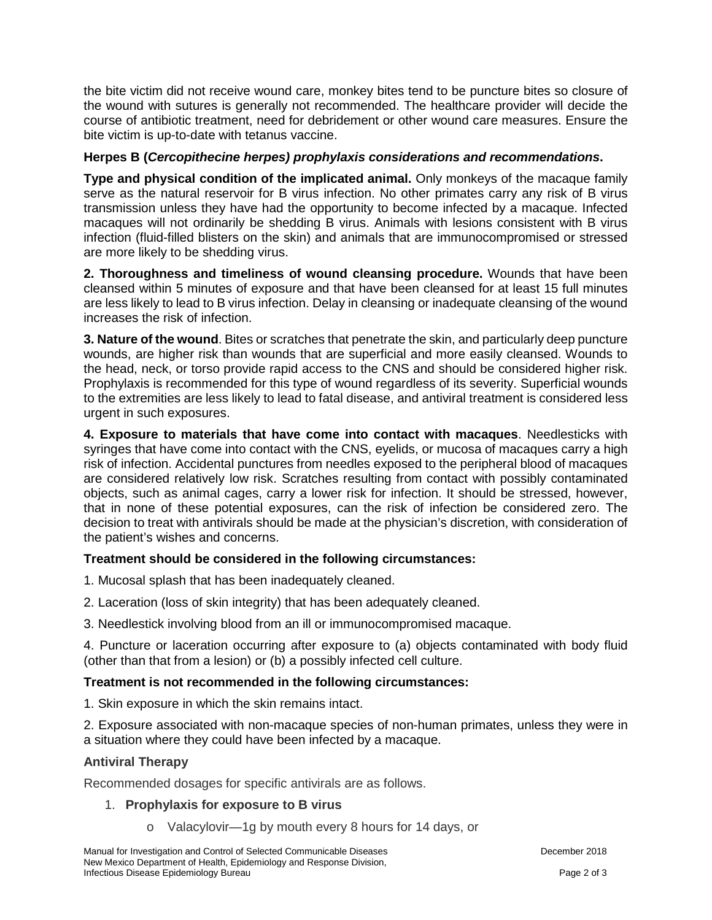the bite victim did not receive wound care, monkey bites tend to be puncture bites so closure of the wound with sutures is generally not recommended. The healthcare provider will decide the course of antibiotic treatment, need for debridement or other wound care measures. Ensure the bite victim is up-to-date with tetanus vaccine.

## **Herpes B (***Cercopithecine herpes) prophylaxis considerations and recommendations***.**

**Type and physical condition of the implicated animal.** Only monkeys of the macaque family serve as the natural reservoir for B virus infection. No other primates carry any risk of B virus transmission unless they have had the opportunity to become infected by a macaque. Infected macaques will not ordinarily be shedding B virus. Animals with lesions consistent with B virus infection (fluid-filled blisters on the skin) and animals that are immunocompromised or stressed are more likely to be shedding virus.

**2. Thoroughness and timeliness of wound cleansing procedure.** Wounds that have been cleansed within 5 minutes of exposure and that have been cleansed for at least 15 full minutes are less likely to lead to B virus infection. Delay in cleansing or inadequate cleansing of the wound increases the risk of infection.

**3. Nature of the wound**. Bites or scratches that penetrate the skin, and particularly deep puncture wounds, are higher risk than wounds that are superficial and more easily cleansed. Wounds to the head, neck, or torso provide rapid access to the CNS and should be considered higher risk. Prophylaxis is recommended for this type of wound regardless of its severity. Superficial wounds to the extremities are less likely to lead to fatal disease, and antiviral treatment is considered less urgent in such exposures.

**4. Exposure to materials that have come into contact with macaques**. Needlesticks with syringes that have come into contact with the CNS, eyelids, or mucosa of macaques carry a high risk of infection. Accidental punctures from needles exposed to the peripheral blood of macaques are considered relatively low risk. Scratches resulting from contact with possibly contaminated objects, such as animal cages, carry a lower risk for infection. It should be stressed, however, that in none of these potential exposures, can the risk of infection be considered zero. The decision to treat with antivirals should be made at the physician's discretion, with consideration of the patient's wishes and concerns.

## **Treatment should be considered in the following circumstances:**

- 1. Mucosal splash that has been inadequately cleaned.
- 2. Laceration (loss of skin integrity) that has been adequately cleaned.
- 3. Needlestick involving blood from an ill or immunocompromised macaque.

4. Puncture or laceration occurring after exposure to (a) objects contaminated with body fluid (other than that from a lesion) or (b) a possibly infected cell culture.

## **Treatment is not recommended in the following circumstances:**

1. Skin exposure in which the skin remains intact.

2. Exposure associated with non-macaque species of non-human primates, unless they were in a situation where they could have been infected by a macaque.

## **Antiviral Therapy**

Recommended dosages for specific antivirals are as follows.

## 1. **Prophylaxis for exposure to B virus**

o Valacylovir—1g by mouth every 8 hours for 14 days, or

Manual for Investigation and Control of Selected Communicable Diseases **December 2018** December 2018 New Mexico Department of Health, Epidemiology and Response Division, Infectious Disease Epidemiology Bureau Page 2 of 3